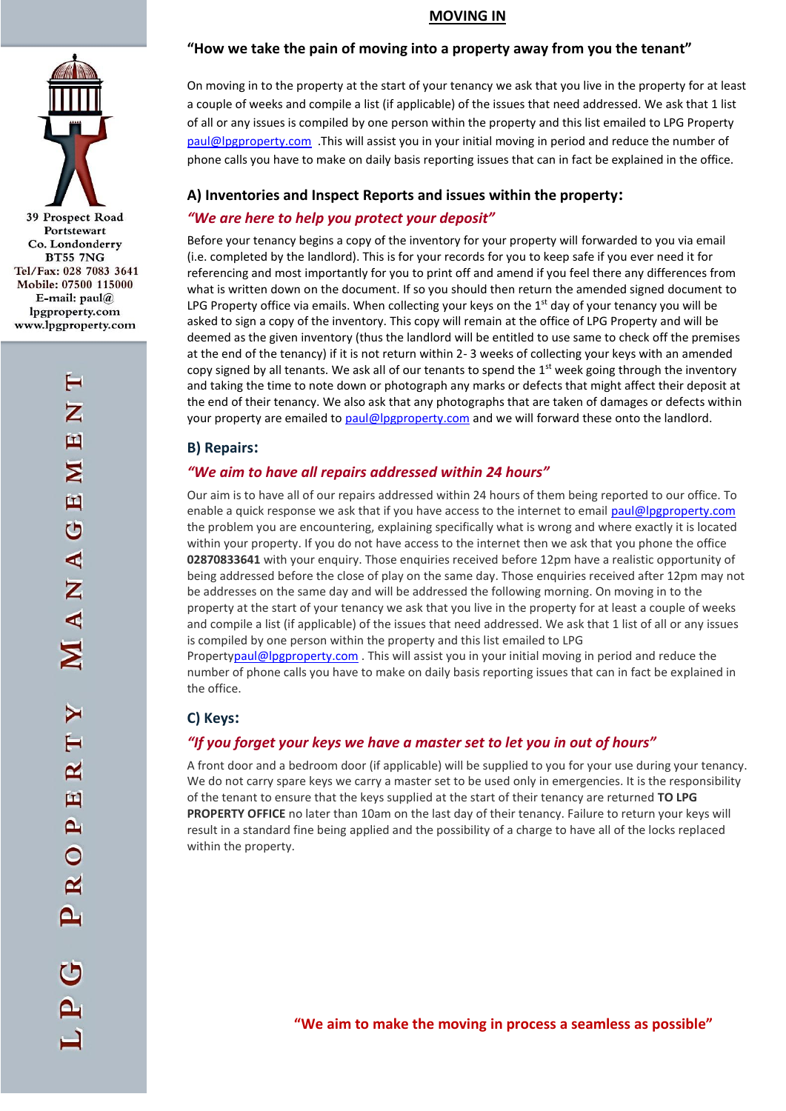

# **MOVING IN**

## **"How we take the pain of moving into a property away from you the tenant"**

On moving in to the property at the start of your tenancy we ask that you live in the property for at least a couple of weeks and compile a list (if applicable) of the issues that need addressed. We ask that 1 list of all or any issues is compiled by one person within the property and this list emailed to LPG Property [paul@lpgproperty.com](mailto:paul@lpgproperty.com) .This will assist you in your initial moving in period and reduce the number of phone calls you have to make on daily basis reporting issues that can in fact be explained in the office.

## **A) Inventories and Inspect Reports and issues within the property:**

## *"We are here to help you protect your deposit"*

Before your tenancy begins a copy of the inventory for your property will forwarded to you via email (i.e. completed by the landlord). This is for your records for you to keep safe if you ever need it for referencing and most importantly for you to print off and amend if you feel there any differences from what is written down on the document. If so you should then return the amended signed document to LPG Property office via emails. When collecting your keys on the  $1<sup>st</sup>$  day of your tenancy you will be asked to sign a copy of the inventory. This copy will remain at the office of LPG Property and will be deemed as the given inventory (thus the landlord will be entitled to use same to check off the premises at the end of the tenancy) if it is not return within 2- 3 weeks of collecting your keys with an amended copy signed by all tenants. We ask all of our tenants to spend the  $1<sup>st</sup>$  week going through the inventory and taking the time to note down or photograph any marks or defects that might affect their deposit at the end of their tenancy. We also ask that any photographs that are taken of damages or defects within your property are emailed t[o paul@lpgproperty.com](mailto:paul@lpgproperty.com) and we will forward these onto the landlord.

### **B) Repairs:**

## *"We aim to have all repairs addressed within 24 hours"*

Our aim is to have all of our repairs addressed within 24 hours of them being reported to our office. To enable a quick response we ask that if you have access to the internet to email [paul@lpgproperty.com](mailto:paul@lpgproperty.com) the problem you are encountering, explaining specifically what is wrong and where exactly it is located within your property. If you do not have access to the internet then we ask that you phone the office **02870833641** with your enquiry. Those enquiries received before 12pm have a realistic opportunity of being addressed before the close of play on the same day. Those enquiries received after 12pm may not be addresses on the same day and will be addressed the following morning. On moving in to the property at the start of your tenancy we ask that you live in the property for at least a couple of weeks and compile a list (if applicable) of the issues that need addressed. We ask that 1 list of all or any issues is compiled by one person within the property and this list emailed to LPG

Propert[ypaul@lpgproperty.com](mailto:paul@lpgproperty.com) . This will assist you in your initial moving in period and reduce the number of phone calls you have to make on daily basis reporting issues that can in fact be explained in the office.

## **C) Keys:**

## *"If you forget your keys we have a master set to let you in out of hours"*

A front door and a bedroom door (if applicable) will be supplied to you for your use during your tenancy. We do not carry spare keys we carry a master set to be used only in emergencies. It is the responsibility of the tenant to ensure that the keys supplied at the start of their tenancy are returned **TO LPG PROPERTY OFFICE** no later than 10am on the last day of their tenancy. Failure to return your keys will result in a standard fine being applied and the possibility of a charge to have all of the locks replaced within the property.